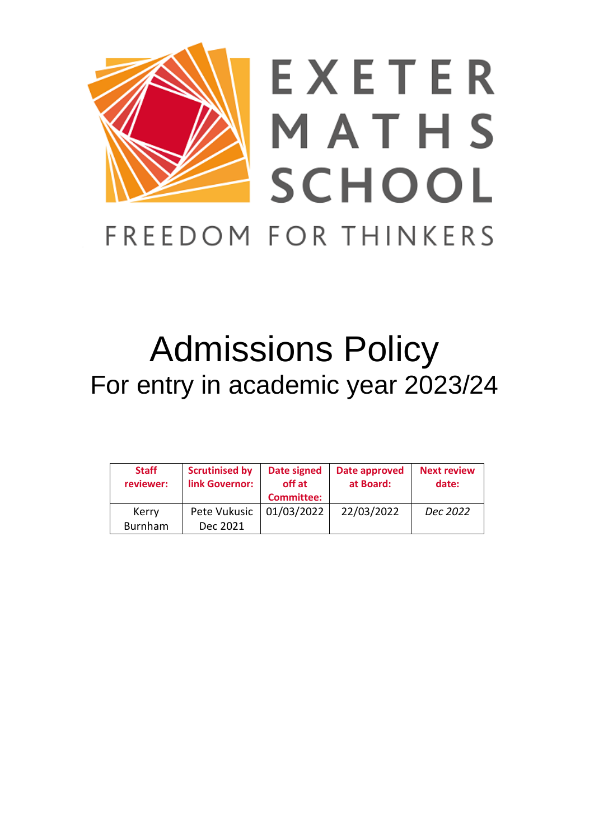

# Admissions Policy For entry in academic year 2023/24

| <b>Staff</b><br>reviewer: | <b>Scrutinised by</b><br>link Governor: | Date signed<br>off at<br><b>Committee:</b> | Date approved<br>at Board: | <b>Next review</b><br>date: |
|---------------------------|-----------------------------------------|--------------------------------------------|----------------------------|-----------------------------|
| Kerry<br>Burnham          | Pete Vukusic<br>Dec 2021                | 01/03/2022                                 | 22/03/2022                 | Dec 2022                    |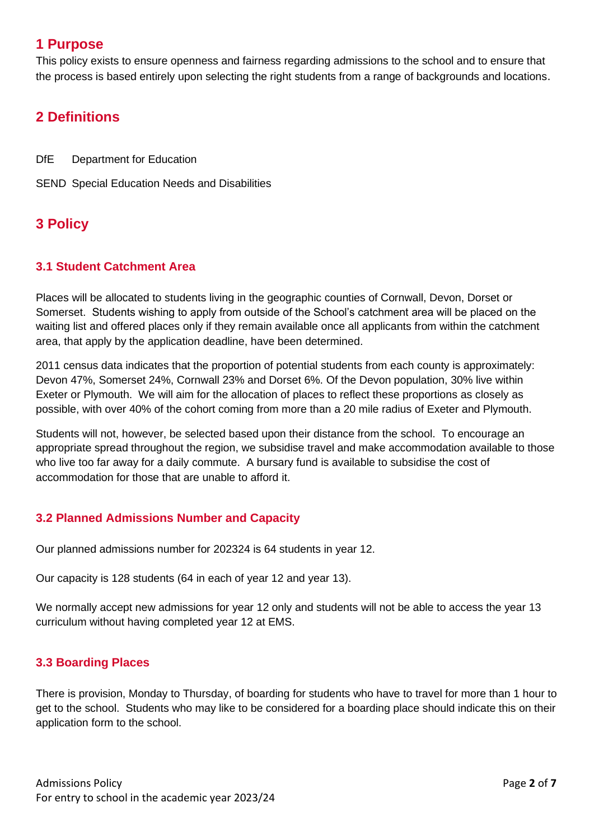# **1 Purpose**

This policy exists to ensure openness and fairness regarding admissions to the school and to ensure that the process is based entirely upon selecting the right students from a range of backgrounds and locations.

# **2 Definitions**

DfE Department for Education

SEND Special Education Needs and Disabilities

# **3 Policy**

#### **3.1 Student Catchment Area**

Places will be allocated to students living in the geographic counties of Cornwall, Devon, Dorset or Somerset. Students wishing to apply from outside of the School's catchment area will be placed on the waiting list and offered places only if they remain available once all applicants from within the catchment area, that apply by the application deadline, have been determined.

2011 census data indicates that the proportion of potential students from each county is approximately: Devon 47%, Somerset 24%, Cornwall 23% and Dorset 6%. Of the Devon population, 30% live within Exeter or Plymouth. We will aim for the allocation of places to reflect these proportions as closely as possible, with over 40% of the cohort coming from more than a 20 mile radius of Exeter and Plymouth.

Students will not, however, be selected based upon their distance from the school. To encourage an appropriate spread throughout the region, we subsidise travel and make accommodation available to those who live too far away for a daily commute. A bursary fund is available to subsidise the cost of accommodation for those that are unable to afford it.

## **3.2 Planned Admissions Number and Capacity**

Our planned admissions number for 202324 is 64 students in year 12.

Our capacity is 128 students (64 in each of year 12 and year 13).

We normally accept new admissions for year 12 only and students will not be able to access the year 13 curriculum without having completed year 12 at EMS.

## **3.3 Boarding Places**

There is provision, Monday to Thursday, of boarding for students who have to travel for more than 1 hour to get to the school. Students who may like to be considered for a boarding place should indicate this on their application form to the school.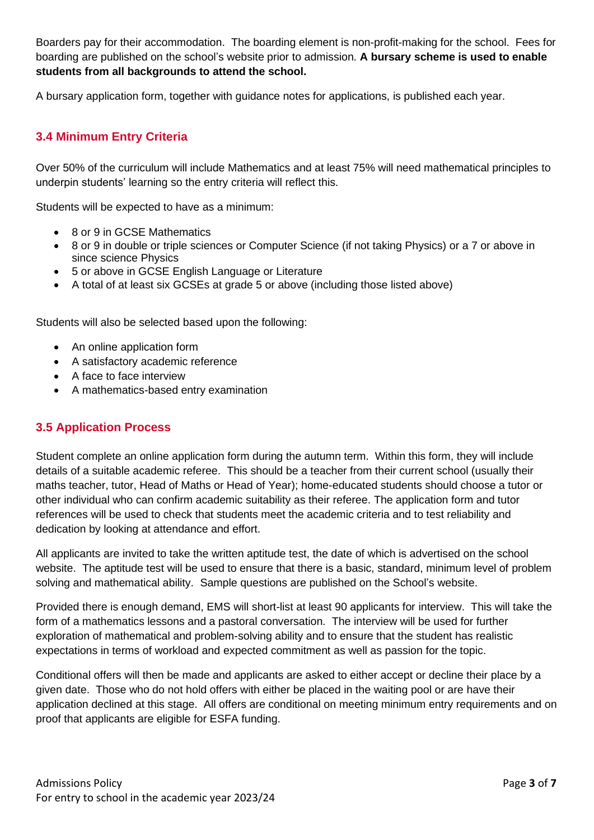Boarders pay for their accommodation. The boarding element is non-profit-making for the school. Fees for boarding are published on the school's website prior to admission. **A bursary scheme is used to enable students from all backgrounds to attend the school.**

A bursary application form, together with guidance notes for applications, is published each year.

#### **3.4 Minimum Entry Criteria**

Over 50% of the curriculum will include Mathematics and at least 75% will need mathematical principles to underpin students' learning so the entry criteria will reflect this.

Students will be expected to have as a minimum:

- 8 or 9 in GCSE Mathematics
- 8 or 9 in double or triple sciences or Computer Science (if not taking Physics) or a 7 or above in since science Physics
- 5 or above in GCSE English Language or Literature
- A total of at least six GCSEs at grade 5 or above (including those listed above)

Students will also be selected based upon the following:

- An online application form
- A satisfactory academic reference
- A face to face interview
- A mathematics-based entry examination

#### **3.5 Application Process**

Student complete an online application form during the autumn term. Within this form, they will include details of a suitable academic referee. This should be a teacher from their current school (usually their maths teacher, tutor, Head of Maths or Head of Year); home-educated students should choose a tutor or other individual who can confirm academic suitability as their referee. The application form and tutor references will be used to check that students meet the academic criteria and to test reliability and dedication by looking at attendance and effort.

All applicants are invited to take the written aptitude test, the date of which is advertised on the school website. The aptitude test will be used to ensure that there is a basic, standard, minimum level of problem solving and mathematical ability. Sample questions are published on the School's website.

Provided there is enough demand, EMS will short-list at least 90 applicants for interview. This will take the form of a mathematics lessons and a pastoral conversation. The interview will be used for further exploration of mathematical and problem-solving ability and to ensure that the student has realistic expectations in terms of workload and expected commitment as well as passion for the topic.

Conditional offers will then be made and applicants are asked to either accept or decline their place by a given date. Those who do not hold offers with either be placed in the waiting pool or are have their application declined at this stage. All offers are conditional on meeting minimum entry requirements and on proof that applicants are eligible for ESFA funding.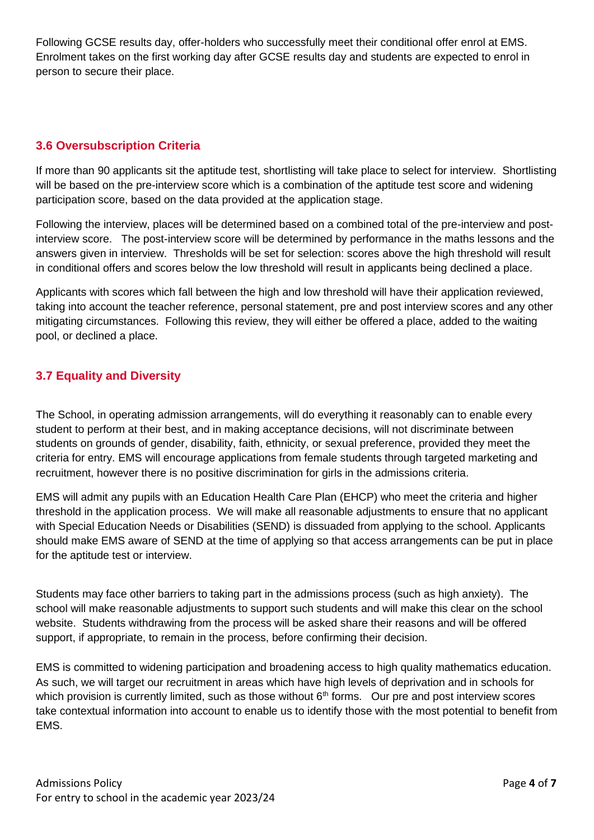Following GCSE results day, offer-holders who successfully meet their conditional offer enrol at EMS. Enrolment takes on the first working day after GCSE results day and students are expected to enrol in person to secure their place.

## **3.6 Oversubscription Criteria**

If more than 90 applicants sit the aptitude test, shortlisting will take place to select for interview. Shortlisting will be based on the pre-interview score which is a combination of the aptitude test score and widening participation score, based on the data provided at the application stage.

Following the interview, places will be determined based on a combined total of the pre-interview and postinterview score. The post-interview score will be determined by performance in the maths lessons and the answers given in interview. Thresholds will be set for selection: scores above the high threshold will result in conditional offers and scores below the low threshold will result in applicants being declined a place.

Applicants with scores which fall between the high and low threshold will have their application reviewed, taking into account the teacher reference, personal statement, pre and post interview scores and any other mitigating circumstances. Following this review, they will either be offered a place, added to the waiting pool, or declined a place.

## **3.7 Equality and Diversity**

The School, in operating admission arrangements, will do everything it reasonably can to enable every student to perform at their best, and in making acceptance decisions, will not discriminate between students on grounds of gender, disability, faith, ethnicity, or sexual preference, provided they meet the criteria for entry. EMS will encourage applications from female students through targeted marketing and recruitment, however there is no positive discrimination for girls in the admissions criteria.

EMS will admit any pupils with an Education Health Care Plan (EHCP) who meet the criteria and higher threshold in the application process. We will make all reasonable adjustments to ensure that no applicant with Special Education Needs or Disabilities (SEND) is dissuaded from applying to the school. Applicants should make EMS aware of SEND at the time of applying so that access arrangements can be put in place for the aptitude test or interview.

Students may face other barriers to taking part in the admissions process (such as high anxiety). The school will make reasonable adjustments to support such students and will make this clear on the school website. Students withdrawing from the process will be asked share their reasons and will be offered support, if appropriate, to remain in the process, before confirming their decision.

EMS is committed to widening participation and broadening access to high quality mathematics education. As such, we will target our recruitment in areas which have high levels of deprivation and in schools for which provision is currently limited, such as those without  $6<sup>th</sup>$  forms. Our pre and post interview scores take contextual information into account to enable us to identify those with the most potential to benefit from EMS.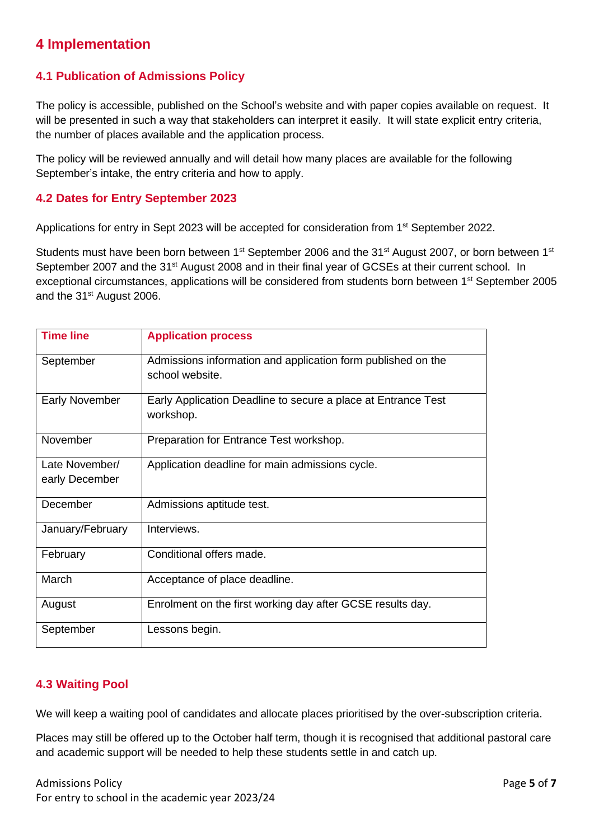# **4 Implementation**

#### **4.1 Publication of Admissions Policy**

The policy is accessible, published on the School's website and with paper copies available on request. It will be presented in such a way that stakeholders can interpret it easily. It will state explicit entry criteria, the number of places available and the application process.

The policy will be reviewed annually and will detail how many places are available for the following September's intake, the entry criteria and how to apply.

#### **4.2 Dates for Entry September 2023**

Applications for entry in Sept 2023 will be accepted for consideration from 1<sup>st</sup> September 2022.

Students must have been born between 1<sup>st</sup> September 2006 and the 31<sup>st</sup> August 2007, or born between 1<sup>st</sup> September 2007 and the 31<sup>st</sup> August 2008 and in their final year of GCSEs at their current school. In exceptional circumstances, applications will be considered from students born between 1st September 2005 and the 31<sup>st</sup> August 2006.

| <b>Time line</b>                 | <b>Application process</b>                                                      |  |
|----------------------------------|---------------------------------------------------------------------------------|--|
| September                        | Admissions information and application form published on the<br>school website. |  |
| <b>Early November</b>            | Early Application Deadline to secure a place at Entrance Test<br>workshop.      |  |
| November                         | Preparation for Entrance Test workshop.                                         |  |
| Late November/<br>early December | Application deadline for main admissions cycle.                                 |  |
| December                         | Admissions aptitude test.                                                       |  |
| January/February                 | Interviews.                                                                     |  |
| February                         | Conditional offers made.                                                        |  |
| March                            | Acceptance of place deadline.                                                   |  |
| August                           | Enrolment on the first working day after GCSE results day.                      |  |
| September                        | Lessons begin.                                                                  |  |

## **4.3 Waiting Pool**

We will keep a waiting pool of candidates and allocate places prioritised by the over-subscription criteria.

Places may still be offered up to the October half term, though it is recognised that additional pastoral care and academic support will be needed to help these students settle in and catch up.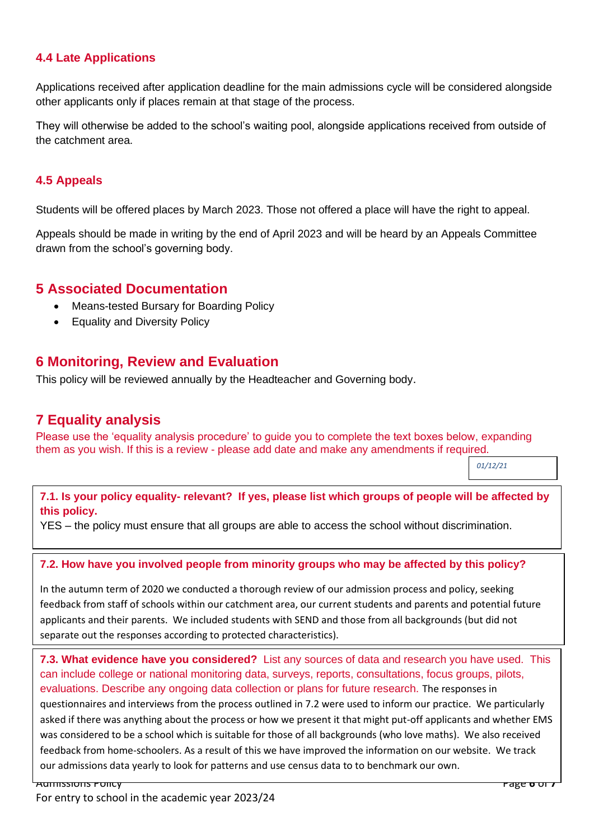## **4.4 Late Applications**

Applications received after application deadline for the main admissions cycle will be considered alongside other applicants only if places remain at that stage of the process.

They will otherwise be added to the school's waiting pool, alongside applications received from outside of the catchment area.

#### **4.5 Appeals**

Students will be offered places by March 2023. Those not offered a place will have the right to appeal.

Appeals should be made in writing by the end of April 2023 and will be heard by an Appeals Committee drawn from the school's governing body.

## **5 Associated Documentation**

- Means-tested Bursary for Boarding Policy
- Equality and Diversity Policy

## **6 Monitoring, Review and Evaluation**

This policy will be reviewed annually by the Headteacher and Governing body.

## **7 Equality analysis**

Please use the 'equality analysis procedure' to guide you to complete the text boxes below, expanding them as you wish. If this is a review - please add date and make any amendments if required.

*01/12/21*

**7.1. Is your policy equality- relevant? If yes, please list which groups of people will be affected by this policy.** 

YES – the policy must ensure that all groups are able to access the school without discrimination.

**7.2. How have you involved people from minority groups who may be affected by this policy?** 

In the autumn term of 2020 we conducted a thorough review of our admission process and policy, seeking feedback from staff of schools within our catchment area, our current students and parents and potential future applicants and their parents. We included students with SEND and those from all backgrounds (but did not separate out the responses according to protected characteristics).

**7.3. What evidence have you considered?** List any sources of data and research you have used. This can include college or national monitoring data, surveys, reports, consultations, focus groups, pilots, evaluations. Describe any ongoing data collection or plans for future research. The responses in questionnaires and interviews from the process outlined in 7.2 were used to inform our practice. We particularly asked if there was anything about the process or how we present it that might put-off applicants and whether EMS was considered to be a school which is suitable for those of all backgrounds (who love maths). We also received feedback from home-schoolers. As a result of this we have improved the information on our website. We track our admissions data yearly to look for patterns and use census data to to benchmark our own.

Admissions Policy Page **6** of **7**